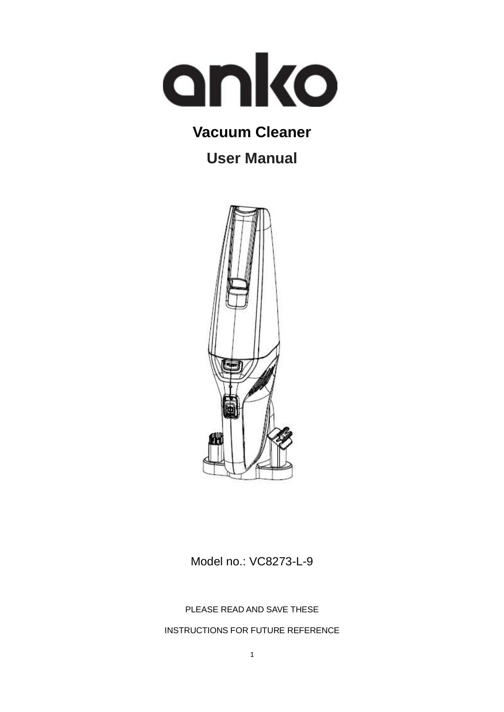

### **Vacuum Cleaner**

**User Manual**



Model no.: VC8273-L-9

PLEASE READ AND SAVE THESE

INSTRUCTIONS FOR FUTURE REFERENCE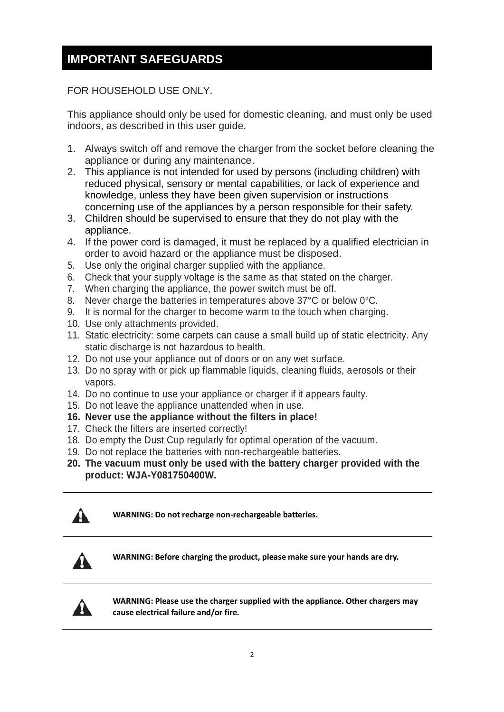### **IMPORTANT SAFEGUARDS**

#### FOR HOUSEHOLD USE ONLY.

This appliance should only be used for domestic cleaning, and must only be used indoors, as described in this user guide.

- 1. Always switch off and remove the charger from the socket before cleaning the appliance or during any maintenance.
- 2. This appliance is not intended for used by persons (including children) with reduced physical, sensory or mental capabilities, or lack of experience and knowledge, unless they have been given supervision or instructions concerning use of the appliances by a person responsible for their safety.
- 3. Children should be supervised to ensure that they do not play with the appliance.
- 4. If the power cord is damaged, it must be replaced by a qualified electrician in order to avoid hazard or the appliance must be disposed.
- 5. Use only the original charger supplied with the appliance.
- 6. Check that your supply voltage is the same as that stated on the charger.
- 7. When charging the appliance, the power switch must be off.
- 8. Never charge the batteries in temperatures above 37°C or below 0°C.
- 9. It is normal for the charger to become warm to the touch when charging.
- 10. Use only attachments provided.
- 11. Static electricity: some carpets can cause a small build up of static electricity. Any static discharge is not hazardous to health.
- 12. Do not use your appliance out of doors or on any wet surface.
- 13. Do no spray with or pick up flammable liquids, cleaning fluids, aerosols or their vapors.
- 14. Do no continue to use your appliance or charger if it appears faulty.
- 15. Do not leave the appliance unattended when in use.
- **16. Never use the appliance without the filters in place!**
- 17. Check the filters are inserted correctly!
- 18. Do empty the Dust Cup regularly for optimal operation of the vacuum.
- 19. Do not replace the batteries with non-rechargeable batteries.
- **20. The vacuum must only be used with the battery charger provided with the product: WJA-Y081750400W.**



**WARNING: Do not recharge non-rechargeable batteries.**



**WARNING: Before charging the product, please make sure your hands are dry.**



**WARNING: Please use the charger supplied with the appliance. Other chargers may cause electrical failure and/or fire.**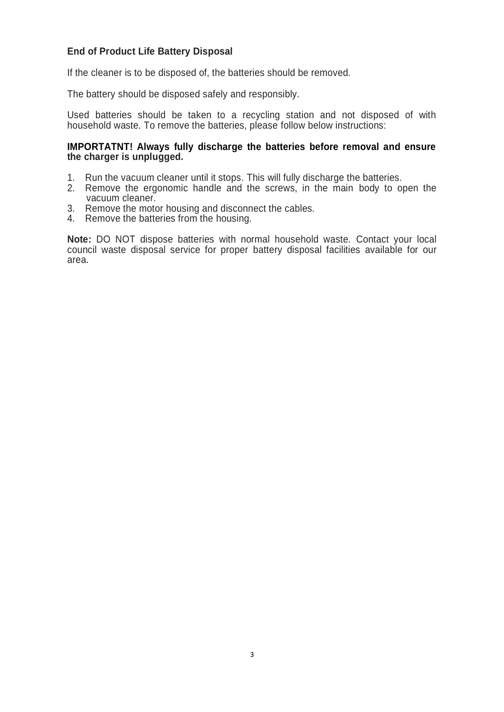#### **End of Product Life Battery Disposal**

If the cleaner is to be disposed of, the batteries should be removed.

The battery should be disposed safely and responsibly.

Used batteries should be taken to a recycling station and not disposed of with household waste. To remove the batteries, please follow below instructions:

#### **IMPORTATNT! Always fully discharge the batteries before removal and ensure the charger is unplugged.**

- 1. Run the vacuum cleaner until it stops. This will fully discharge the batteries.
- 2. Remove the ergonomic handle and the screws, in the main body to open the vacuum cleaner.
- 3. Remove the motor housing and disconnect the cables.
- 4. Remove the batteries from the housing.

**Note:** DO NOT dispose batteries with normal household waste. Contact your local council waste disposal service for proper battery disposal facilities available for our area.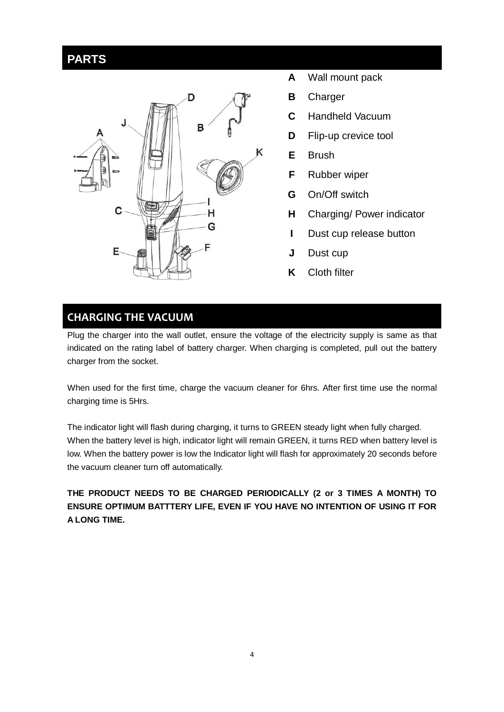### **PARTS**



- **A** Wall mount pack
- **B B** Charger
- **C** Handheld Vacuum
- **D** Flip-up crevice tool
- **E** Brush
- **F** Rubber wiper
- **G** On/Off switch
- **H** Charging/ Power indicator
- **I** Dust cup release button
- **J** Dust cup
- **K** Cloth filter

### **CHARGING THE VACUUM**

Plug the charger into the wall outlet, ensure the voltage of the electricity supply is same as that indicated on the rating label of battery charger. When charging is completed, pull out the battery charger from the socket.

When used for the first time, charge the vacuum cleaner for 6hrs. After first time use the normal charging time is 5Hrs.

The indicator light will flash during charging, it turns to GREEN steady light when fully charged. When the battery level is high, indicator light will remain GREEN, it turns RED when battery level is low. When the battery power is low the Indicator light will flash for approximately 20 seconds before the vacuum cleaner turn off automatically.

**THE PRODUCT NEEDS TO BE CHARGED PERIODICALLY (2 or 3 TIMES A MONTH) TO ENSURE OPTIMUM BATTTERY LIFE, EVEN IF YOU HAVE NO INTENTION OF USING IT FOR A LONG TIME.**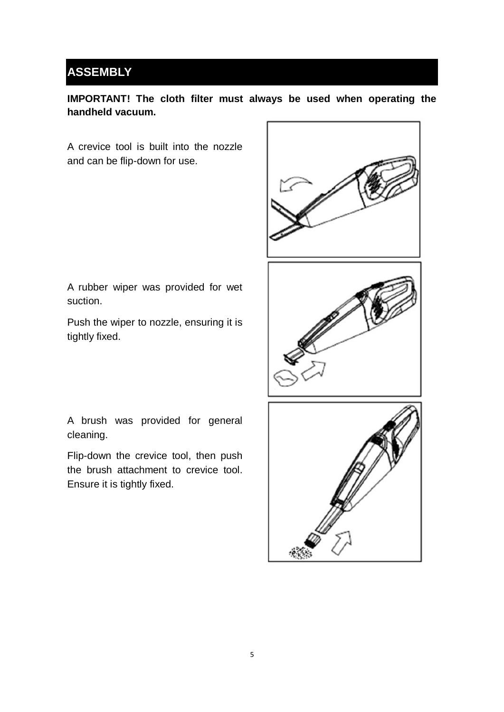### **ASSEMBLY**

### **IMPORTANT! The cloth filter must always be used when operating the handheld vacuum.**

A crevice tool is built into the nozzle and can be flip-down for use.



A rubber wiper was provided for wet suction.

Push the wiper to nozzle, ensuring it is tightly fixed.

A brush was provided for general

Flip-down the crevice tool, then push the brush attachment to crevice tool.

Ensure it is tightly fixed.

cleaning.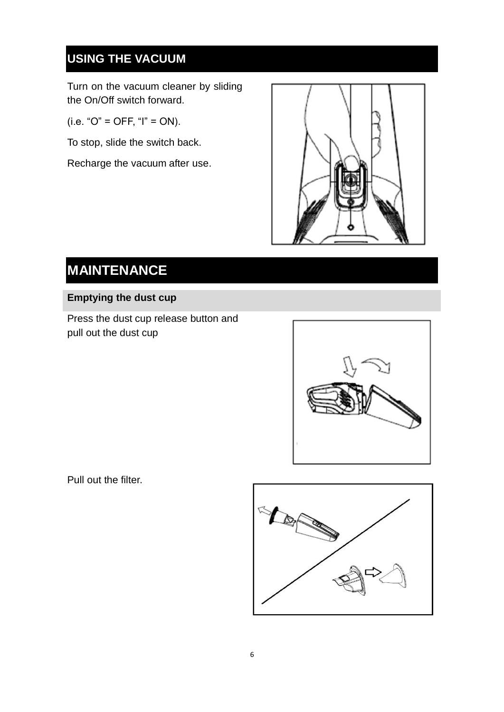### **USING THE VACUUM**

Turn on the vacuum cleaner by sliding the On/Off switch forward.

 $(i.e. "O" = OFF, "I" = ON).$ 

To stop, slide the switch back.

Recharge the vacuum after use.



### **MAINTENANCE**

#### **Emptying the dust cup**

Press the dust cup release button and pull out the dust cup



Pull out the filter.

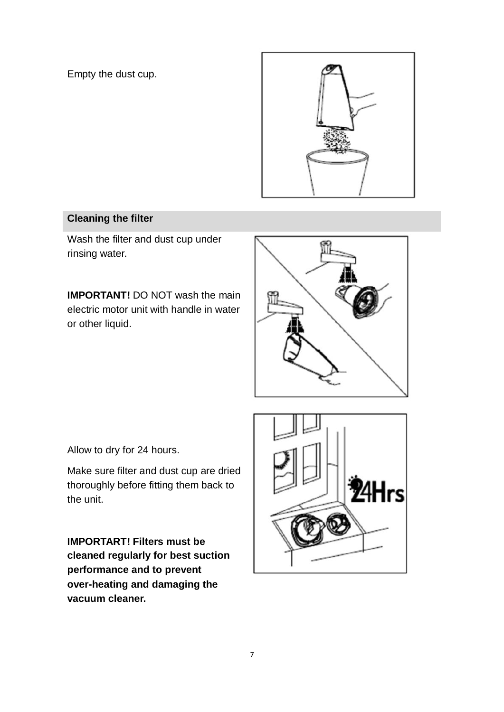Empty the dust cup.



#### **Cleaning the filter**

Wash the filter and dust cup under rinsing water.

**IMPORTANT!** DO NOT wash the main electric motor unit with handle in water or other liquid.



Allow to dry for 24 hours.

Make sure filter and dust cup are dried thoroughly before fitting them back to the unit.

**IMPORTART! Filters must be cleaned regularly for best suction performance and to prevent over-heating and damaging the vacuum cleaner.**

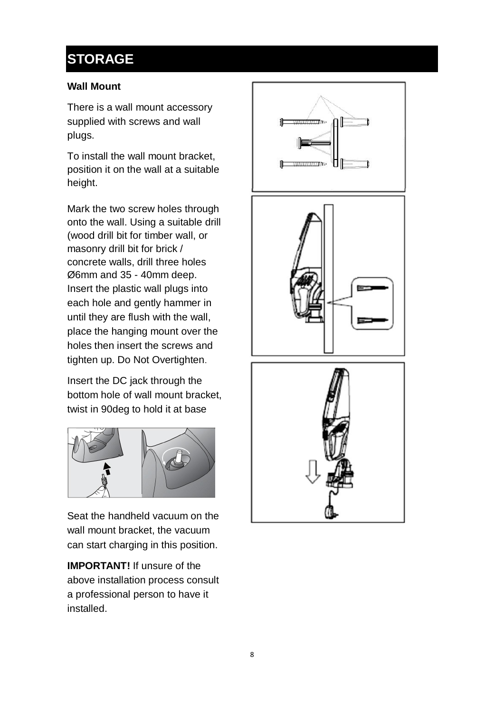## **STORAGE**

#### **Wall Mount**

There is a wall mount accessory supplied with screws and wall plugs.

To install the wall mount bracket, position it on the wall at a suitable height.

Mark the two screw holes through onto the wall. Using a suitable drill (wood drill bit for timber wall, or masonry drill bit for brick / concrete walls, drill three holes Ø6mm and 35 - 40mm deep. Insert the plastic wall plugs into each hole and gently hammer in until they are flush with the wall, place the hanging mount over the holes then insert the screws and tighten up. Do Not Overtighten.

Insert the DC jack through the bottom hole of wall mount bracket, twist in 90deg to hold it at base



Seat the handheld vacuum on the wall mount bracket, the vacuum can start charging in this position.

**IMPORTANT!** If unsure of the above installation process consult a professional person to have it installed.





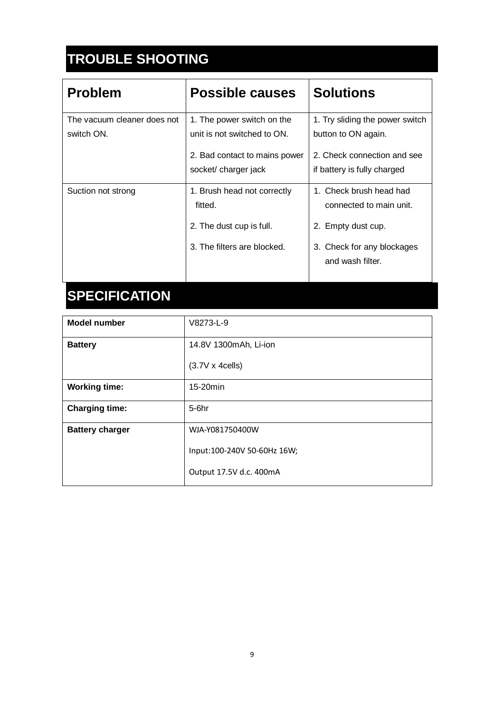## **TROUBLE SHOOTING**

| <b>Problem</b>                            | Possible causes                                           | <b>Solutions</b>                                           |
|-------------------------------------------|-----------------------------------------------------------|------------------------------------------------------------|
| The vacuum cleaner does not<br>switch ON. | 1. The power switch on the<br>unit is not switched to ON. | 1. Try sliding the power switch<br>button to ON again.     |
|                                           | 2. Bad contact to mains power<br>socket/ charger jack     | 2. Check connection and see<br>if battery is fully charged |
| Suction not strong                        | 1. Brush head not correctly<br>fitted.                    | 1. Check brush head had<br>connected to main unit.         |
|                                           | 2. The dust cup is full.                                  | 2. Empty dust cup.                                         |
|                                           | 3. The filters are blocked.                               | 3. Check for any blockages<br>and wash filter.             |

# **SPECIFICATION**

| <b>Model number</b>    | V8273-L-9                   |
|------------------------|-----------------------------|
| <b>Battery</b>         | 14.8V 1300mAh, Li-ion       |
|                        | $(3.7V \times 4cells)$      |
| <b>Working time:</b>   | 15-20min                    |
| <b>Charging time:</b>  | $5-6hr$                     |
| <b>Battery charger</b> | WJA-Y081750400W             |
|                        | Input:100-240V 50-60Hz 16W; |
|                        | Output 17.5V d.c. 400mA     |